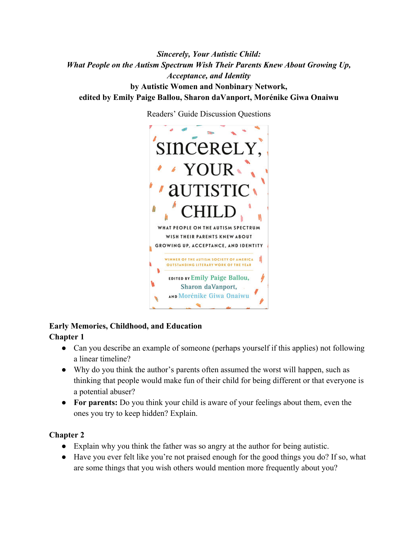*Sincerely, Your Autistic Child: What People on the Autism Spectrum Wish Their Parents Knew About Growing Up, Acceptance, and Identity* **by Autistic Women and Nonbinary Network, edited by Emily Paige Ballou, Sharon daVanport, Morénike Giwa Onaiwu**



Readers' Guide Discussion Questions

### **Early Memories, Childhood, and Education Chapter 1**

- Can you describe an example of someone (perhaps yourself if this applies) not following a linear timeline?
- Why do you think the author's parents often assumed the worst will happen, such as thinking that people would make fun of their child for being different or that everyone is a potential abuser?
- **For parents:** Do you think your child is aware of your feelings about them, even the ones you try to keep hidden? Explain.

- Explain why you think the father was so angry at the author for being autistic.
- Have you ever felt like you're not praised enough for the good things you do? If so, what are some things that you wish others would mention more frequently about you?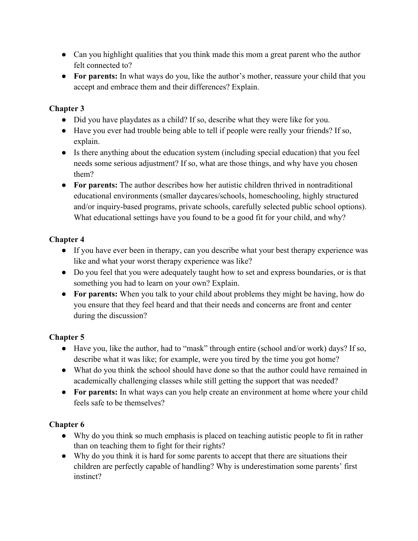- Can you highlight qualities that you think made this mom a great parent who the author felt connected to?
- For parents: In what ways do you, like the author's mother, reassure your child that you accept and embrace them and their differences? Explain.

- Did you have playdates as a child? If so, describe what they were like for you.
- Have you ever had trouble being able to tell if people were really your friends? If so, explain.
- Is there anything about the education system (including special education) that you feel needs some serious adjustment? If so, what are those things, and why have you chosen them?
- For parents: The author describes how her autistic children thrived in nontraditional educational environments (smaller daycares/schools, homeschooling, highly structured and/or inquiry-based programs, private schools, carefully selected public school options). What educational settings have you found to be a good fit for your child, and why?

## **Chapter 4**

- If you have ever been in therapy, can you describe what your best therapy experience was like and what your worst therapy experience was like?
- Do you feel that you were adequately taught how to set and express boundaries, or is that something you had to learn on your own? Explain.
- **For parents:** When you talk to your child about problems they might be having, how do you ensure that they feel heard and that their needs and concerns are front and center during the discussion?

# **Chapter 5**

- Have you, like the author, had to "mask" through entire (school and/or work) days? If so, describe what it was like; for example, were you tired by the time you got home?
- What do you think the school should have done so that the author could have remained in academically challenging classes while still getting the support that was needed?
- **For parents:** In what ways can you help create an environment at home where your child feels safe to be themselves?

- Why do you think so much emphasis is placed on teaching autistic people to fit in rather than on teaching them to fight for their rights?
- Why do you think it is hard for some parents to accept that there are situations their children are perfectly capable of handling? Why is underestimation some parents' first instinct?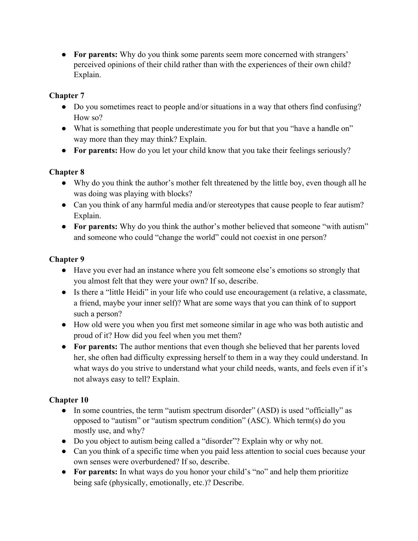● **For parents:** Why do you think some parents seem more concerned with strangers' perceived opinions of their child rather than with the experiences of their own child? Explain.

## **Chapter 7**

- Do you sometimes react to people and/or situations in a way that others find confusing? How so?
- What is something that people underestimate you for but that you "have a handle on" way more than they may think? Explain.
- For parents: How do you let your child know that you take their feelings seriously?

## **Chapter 8**

- Why do you think the author's mother felt threatened by the little boy, even though all he was doing was playing with blocks?
- Can you think of any harmful media and/or stereotypes that cause people to fear autism? Explain.
- **For parents:** Why do you think the author's mother believed that someone "with autism" and someone who could "change the world" could not coexist in one person?

## **Chapter 9**

- Have you ever had an instance where you felt someone else's emotions so strongly that you almost felt that they were your own? If so, describe.
- Is there a "little Heidi" in your life who could use encouragement (a relative, a classmate, a friend, maybe your inner self)? What are some ways that you can think of to support such a person?
- How old were you when you first met someone similar in age who was both autistic and proud of it? How did you feel when you met them?
- For parents: The author mentions that even though she believed that her parents loved her, she often had difficulty expressing herself to them in a way they could understand. In what ways do you strive to understand what your child needs, wants, and feels even if it's not always easy to tell? Explain.

- In some countries, the term "autism spectrum disorder" (ASD) is used "officially" as opposed to "autism" or "autism spectrum condition" (ASC). Which term(s) do you mostly use, and why?
- Do you object to autism being called a "disorder"? Explain why or why not.
- Can you think of a specific time when you paid less attention to social cues because your own senses were overburdened? If so, describe.
- **For parents:** In what ways do you honor your child's "no" and help them prioritize being safe (physically, emotionally, etc.)? Describe.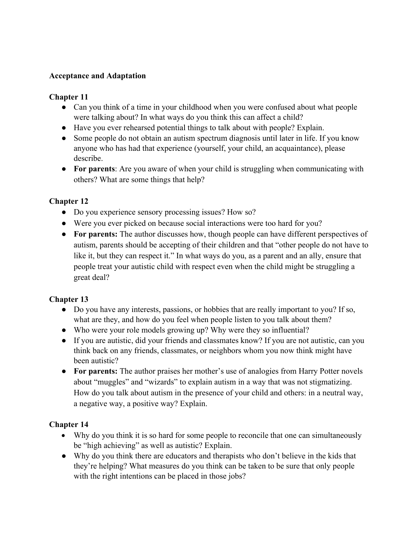#### **Acceptance and Adaptation**

#### **Chapter 11**

- Can you think of a time in your childhood when you were confused about what people were talking about? In what ways do you think this can affect a child?
- Have you ever rehearsed potential things to talk about with people? Explain.
- Some people do not obtain an autism spectrum diagnosis until later in life. If you know anyone who has had that experience (yourself, your child, an acquaintance), please describe.
- **For parents**: Are you aware of when your child is struggling when communicating with others? What are some things that help?

### **Chapter 12**

- Do you experience sensory processing issues? How so?
- Were you ever picked on because social interactions were too hard for you?
- **For parents:** The author discusses how, though people can have different perspectives of autism, parents should be accepting of their children and that "other people do not have to like it, but they can respect it." In what ways do you, as a parent and an ally, ensure that people treat your autistic child with respect even when the child might be struggling a great deal?

### **Chapter 13**

- Do you have any interests, passions, or hobbies that are really important to you? If so, what are they, and how do you feel when people listen to you talk about them?
- Who were your role models growing up? Why were they so influential?
- If you are autistic, did your friends and classmates know? If you are not autistic, can you think back on any friends, classmates, or neighbors whom you now think might have been autistic?
- For parents: The author praises her mother's use of analogies from Harry Potter novels about "muggles" and "wizards" to explain autism in a way that was not stigmatizing. How do you talk about autism in the presence of your child and others: in a neutral way, a negative way, a positive way? Explain.

- Why do you think it is so hard for some people to reconcile that one can simultaneously be "high achieving" as well as autistic? Explain.
- Why do you think there are educators and therapists who don't believe in the kids that they're helping? What measures do you think can be taken to be sure that only people with the right intentions can be placed in those jobs?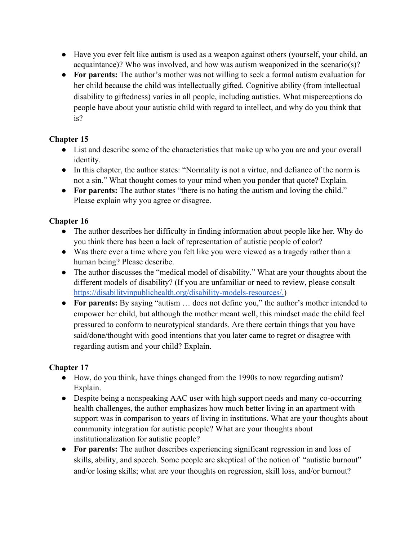- Have you ever felt like autism is used as a weapon against others (yourself, your child, an acquaintance)? Who was involved, and how was autism weaponized in the scenario(s)?
- **For parents:** The author's mother was not willing to seek a formal autism evaluation for her child because the child was intellectually gifted. Cognitive ability (from intellectual disability to giftedness) varies in all people, including autistics. What misperceptions do people have about your autistic child with regard to intellect, and why do you think that is?

- List and describe some of the characteristics that make up who you are and your overall identity.
- In this chapter, the author states: "Normality is not a virtue, and defiance of the norm is not a sin." What thought comes to your mind when you ponder that quote? Explain.
- For parents: The author states "there is no hating the autism and loving the child." Please explain why you agree or disagree.

## **Chapter 16**

- The author describes her difficulty in finding information about people like her. Why do you think there has been a lack of representation of autistic people of color?
- Was there ever a time where you felt like you were viewed as a tragedy rather than a human being? Please describe.
- The author discusses the "medical model of disability." What are your thoughts about the different models of disability? (If you are unfamiliar or need to review, please consult [https://disabilityinpublichealth.org/disability-models-resources/.](https://disabilityinpublichealth.org/disability-models-resources/))
- **For parents:** By saying "autism … does not define you," the author's mother intended to empower her child, but although the mother meant well, this mindset made the child feel pressured to conform to neurotypical standards. Are there certain things that you have said/done/thought with good intentions that you later came to regret or disagree with regarding autism and your child? Explain.

- How, do you think, have things changed from the 1990s to now regarding autism? Explain.
- Despite being a nonspeaking AAC user with high support needs and many co-occurring health challenges, the author emphasizes how much better living in an apartment with support was in comparison to years of living in institutions. What are your thoughts about community integration for autistic people? What are your thoughts about institutionalization for autistic people?
- **For parents:** The author describes experiencing significant regression in and loss of skills, ability, and speech. Some people are skeptical of the notion of "autistic burnout" and/or losing skills; what are your thoughts on regression, skill loss, and/or burnout?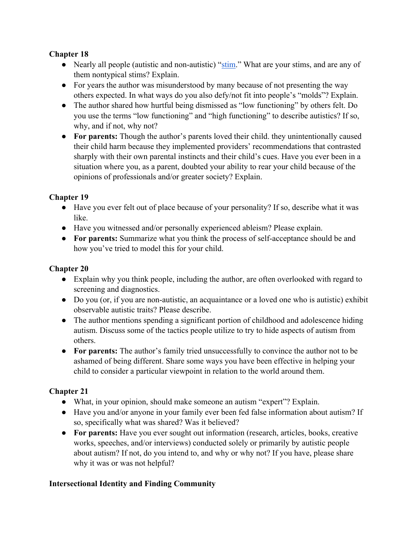- Nearly all people (autistic and non-autistic) ["stim.](https://www.merriam-webster.com/dictionary/stimming)" What are your stims, and are any of them nontypical stims? Explain.
- For years the author was misunderstood by many because of not presenting the way others expected. In what ways do you also defy/not fit into people's "molds"? Explain.
- The author shared how hurtful being dismissed as "low functioning" by others felt. Do you use the terms "low functioning" and "high functioning" to describe autistics? If so, why, and if not, why not?
- **For parents:** Though the author's parents loved their child. they unintentionally caused their child harm because they implemented providers' recommendations that contrasted sharply with their own parental instincts and their child's cues. Have you ever been in a situation where you, as a parent, doubted your ability to rear your child because of the opinions of professionals and/or greater society? Explain.

### **Chapter 19**

- Have you ever felt out of place because of your personality? If so, describe what it was like.
- Have you witnessed and/or personally experienced ableism? Please explain.
- **For parents:** Summarize what you think the process of self-acceptance should be and how you've tried to model this for your child.

#### **Chapter 20**

- Explain why you think people, including the author, are often overlooked with regard to screening and diagnostics.
- Do you (or, if you are non-autistic, an acquaintance or a loved one who is autistic) exhibit observable autistic traits? Please describe.
- The author mentions spending a significant portion of childhood and adolescence hiding autism. Discuss some of the tactics people utilize to try to hide aspects of autism from others.
- For parents: The author's family tried unsuccessfully to convince the author not to be ashamed of being different. Share some ways you have been effective in helping your child to consider a particular viewpoint in relation to the world around them.

### **Chapter 21**

- What, in your opinion, should make someone an autism "expert"? Explain.
- Have you and/or anyone in your family ever been fed false information about autism? If so, specifically what was shared? Was it believed?
- **For parents:** Have you ever sought out information (research, articles, books, creative works, speeches, and/or interviews) conducted solely or primarily by autistic people about autism? If not, do you intend to, and why or why not? If you have, please share why it was or was not helpful?

### **Intersectional Identity and Finding Community**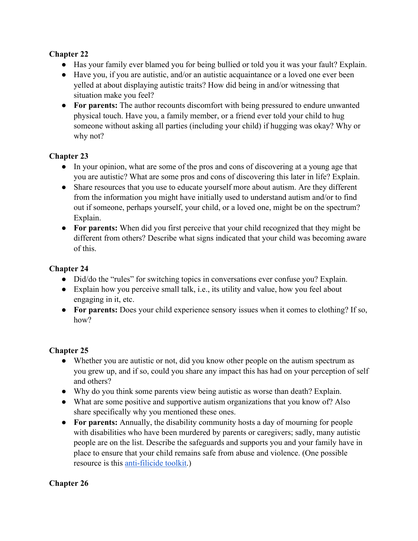- Has your family ever blamed you for being bullied or told you it was your fault? Explain.
- Have you, if you are autistic, and/or an autistic acquaintance or a loved one ever been yelled at about displaying autistic traits? How did being in and/or witnessing that situation make you feel?
- **For parents:** The author recounts discomfort with being pressured to endure unwanted physical touch. Have you, a family member, or a friend ever told your child to hug someone without asking all parties (including your child) if hugging was okay? Why or why not?

### **Chapter 23**

- In your opinion, what are some of the pros and cons of discovering at a young age that you are autistic? What are some pros and cons of discovering this later in life? Explain.
- Share resources that you use to educate yourself more about autism. Are they different from the information you might have initially used to understand autism and/or to find out if someone, perhaps yourself, your child, or a loved one, might be on the spectrum? Explain.
- **For parents:** When did you first perceive that your child recognized that they might be different from others? Describe what signs indicated that your child was becoming aware of this.

### **Chapter 24**

- Did/do the "rules" for switching topics in conversations ever confuse you? Explain.
- Explain how you perceive small talk, i.e., its utility and value, how you feel about engaging in it, etc.
- **For parents:** Does your child experience sensory issues when it comes to clothing? If so, how?

### **Chapter 25**

- Whether you are autistic or not, did you know other people on the autism spectrum as you grew up, and if so, could you share any impact this has had on your perception of self and others?
- Why do you think some parents view being autistic as worse than death? Explain.
- What are some positive and supportive autism organizations that you know of? Also share specifically why you mentioned these ones.
- **For parents:** Annually, the disability community hosts a day of mourning for people with disabilities who have been murdered by parents or caregivers; sadly, many autistic people are on the list. Describe the safeguards and supports you and your family have in place to ensure that your child remains safe from abuse and violence. (One possible resource is this [anti-filicide toolkit.](https://autisticadvocacy.org/projects/community/mourning/anti-filicide))